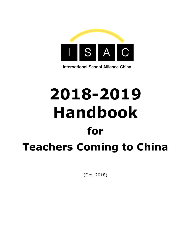

**International School Alliance China** 

# **2018-2019 Handbook for Teachers Coming to China**

(Oct. 2018)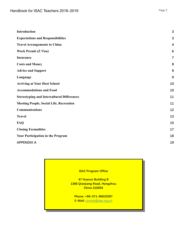| Introduction                                      | 3  |
|---------------------------------------------------|----|
| <b>Expectations and Responsibilities</b>          | 3  |
| <b>Travel Arrangements to China</b>               | 4  |
| <b>Work Permit (Z Visa)</b>                       | 6  |
| Insurance                                         | 7  |
| <b>Costs and Money</b>                            | 8  |
| <b>Advice and Support</b>                         | 9  |
| Language                                          | 9  |
| <b>Arriving at Your Host School</b>               | 10 |
| <b>Accommodations and Food</b>                    | 10 |
| <b>Stereotyping and Intercultural Differences</b> | 11 |
| <b>Meeting People, Social Life, Recreation</b>    | 11 |
| Communications                                    | 12 |
| <b>Travel</b>                                     | 13 |
| <b>FAQ</b>                                        | 15 |
| <b>Closing Formalities</b>                        | 17 |
| <b>Your Participation in the Program</b>          | 18 |
| <b>APPENDIX A</b>                                 | 19 |
|                                                   |    |

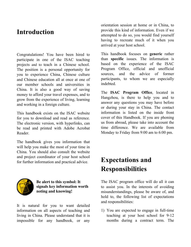### **Introduction**

Congratulations! You have been hired to participate in one of the ISAC teaching projects and to teach in a Chinese school. The position is a personal opportunity for you to experience China, Chinese culture and Chinese education all at once at one of our member schools and universities in China. It is also a good way of saving money to afford your travel expenses, and to grow from the experience of living, learning and working in a foreign culture.

This handbook exists on the ISAC website for you to download and read as reference. The electronic version, with hyperlinks, can be read and printed with Adobe Acrobat Reader.

The handbook gives you information that will help you make the most of your time in China. You should also consult the website and project coordinator of your host school for further information and practical advice.



**Be alert to this symbol: It signals key information worth noting and knowing!** 

It is natural for you to want detailed information on all aspects of teaching and living in China. Please understand that it is impossible for any handbook, or any

orientation session at home or in China, to provide this kind of information. Even if we attempted to do so, you would find yourself having to recreate much of it when you arrived at your host school.

This handbook focuses on **generic** rather than **specific** issues. The information is based on the experience of the ISAC Program Office, official and unofficial sources, and the advice of former participants, to whom we are especially indebted.

The **ISAC Program Office**, located in Hangzhou, is there to help you and to answer any questions you may have before or during your stay in China. The contact information is listed on the inside front cover of this Handbook. If you are phoning us from abroad, please take into account the time difference. We are available from Monday to Friday from 9:00 am to 6:00 pm.

# **Expectations and Responsibilities**

The ISAC program office will do all it can to assist you. In the interests of avoiding misunderstandings, please be aware of, and hold to, the following list of expectations and responsibilities:

1) You are expected to engage in full-time teaching at your host school for 9-12 months during a contract term. The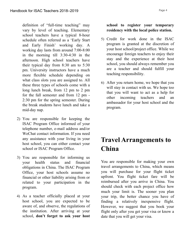definition of "full-time teaching" may vary by level of teaching. Elementary school teachers have a typical 8-hour schedule often referred as a 'Early Start and Early Finish' working day. A working day lasts from around 7:00-8:00 in the morning till 3:30-4:30 in the afternoon. High school teachers have their typical day from 8:30 am to 5:30 pm. University instructors have a much more flexible schedule depending on what class slots you are assigned to. All these three types of schools come with a long lunch break, from 12 pm to 2 pm for the fall semester and from 12 pm - 2:30 pm for the spring semester. During the break students have lunch and take a mid-day nap.

- 2) You are responsible for keeping the ISAC Program Office informed of your telephone number, e-mail address and/or WeChat contact information. If you need any assistance with your living in your host school, you can either contact your school or ISAC Program Office.
- 3) You are responsible for informing us your health status and financial obligations in China. The ISAC Program Office, your host schools assume no financial or other liability arising from or related to your participation in the program.
- 4) As a teacher officially placed at your host school, you are expected to be aware of, and observe, the regulations of the institution. After arriving at your school, **don't forget to ask your host**

#### **school to register your temporary residency with the local police station.**

- 5) Credit for work done in the ISAC program is granted at the discretion of your host school/project office. While we encourage foreign teachers to enjoy their stay and the experience at their host school, you should always remember you are a teacher and should fulfill your teaching responsibility.
- 6) After you return home, we hope that you will stay in contact with us. We hope too that you will want to act as a help for other incoming teachers and an ambassador for your host school and the program.

# **Travel Arrangements to China**

You are responsible for making your own travel arrangements to China, which means you will purchase for your flight ticket upfront. You flight ticket fare will be reimbursed after you arrive in China. You should check with each project office how much your limit is. The sooner you plan your trip, the better chance you have of finding a relatively inexpensive flight. However, we suggest that you book your flight only after you get your visa or know a date that you will get your visa.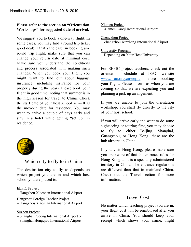#### **Please refer to the section on "Orientation Workshops" for suggested date of arrival.**

We suggest you to book a one-way flight. In some cases, you may find a round trip ticket good deal; if that's the case, in booking any round trip flight, make sure that you can change your return date at minimal cost. Make sure you understand the conditions and process associated with making such changes. When you book your flight, you might want to find out about luggage insurance (including insurance for your property during the year). Please book your flight in good time, noting that summer is in the high season for travel to China. Check the start date of your host school as well as the move-in date for residence. You may want to arrive a couple of days early and stay in a hotel while getting "set up" in residence.



### Which city to fly to in China

The destination city to fly to depends on which project you are in and which host school you are placed to.

#### EEPIC Project

– Hangzhou Xiaoshan International Airport

Hangzhou Foreign Teacher Project

– Hangzhou Xiaoshan International Airport

#### Suzhou Project

- Shanghai Pudong International Airport or
- Shanghai Hongqiao International Airport

Xiamen Project

– Xiamen Gaoqi International Airport

Zhengzhou Project – Zhengzhou Xinzheng International Airport

University Program

– Depending on Your Host University

For EEPIC project teachers, check out the orientation schedule at ISAC website www.isac.org.cn/eepic before booking your flight; Please inform us when you are coming so that we are expecting you and planning a pick up arrangement.

If you are unable to join the orientation workshop, you shall fly directly to the city of your host school.

If you will arrive early and want to do some sightseeing or touring first, you may choose to fly to either Beijing, Shanghai, Guangzhou, or Hong Kong; these are the hub airports in China.

If you visit Hong Kong, please make sure you are aware of that the entrance rules for Hong Kong as it is a specially administered territory in China. The entrance regulations are different than that in mainland China. Check out the Travel section for more information.

### Travel Cost

No matter which teaching project you are in, your flight cost will be reimbursed after you arrive in China. You should keep your receipt which shows your name, flight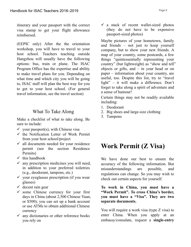itinerary and your passport with the correct visa stamp to get your flight allowance reimbursed.

(EEPIC only) After the the orientation workshop, you will have to travel to your host school. Teachers teaching outside Hangzhou will usually have the following options: bus, train or plane. The ISAC Program Office has the expertise and ability to make travel plans for you. Depending on what time and which city you will be going to, ISAC staff will plan the best way for you to get to your host school. (For general travel information, see the travel section)

### What To Take Along

Make a checklist of what to take along. Be sure to include:

- $\checkmark$  vour passport(s), with Chinese visa
- $\checkmark$  the Notification Letter of Work Permit from your host school/project
- $\checkmark$  all documents needed for your residence permit (see the section Residence Permits)
- $\checkmark$  this handbook
- $\checkmark$  any prescription medicines you will need, in addition to your preferred toiletries (e.g., deodorant, tampons, etc.)
- $\checkmark$  vour eyeglasses prescription (if you wear glasses)
- $\checkmark$  decent rain gear
- $\checkmark$  some Chinese currency for your first days in China (about 2,500 Chinese Yuan, or \$500); you can set up a bank account or use ATMs to obtain additional Chinese currency
- $\checkmark$  any dictionaries or other reference books you rely on

 $\checkmark$  a stack of recent wallet-sized photos (they do not have to be expensive passport-sized photos)

Maybe pictures of your hometown, family and friends – not just to keep yourself company, but to show your new friends. A map of your country, some postcards, a few things "quintessentially representing your country" (but lightweight) as "show and tell" objects or gifts, and – in your head or on paper – information about your country, are useful, too. Despite this list, try to "travel light" – it will make a difference. Don't forget to take along a spirit of adventure and a sense of humour!

Certain things may not be readily available including:

- 1. Deodorant
- 2. Big shoes and large-size clothing
- 3. Tampons

# **Work Permit (Z Visa)**

We have done our best to ensure the accuracy of the following information. But misunderstandings are possible, and regulations can change. So you may wish to check out certain aspects for yourself.

**To work in China, you must have a "Work Permit". To cross China's border, you must have a "Visa". They are two separate documents.**

You will require a work visa (type Z visa) to enter China. When you apply at an embassy/consulate, request a **single-entry**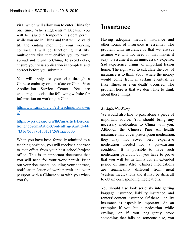**visa**, which will allow you to enter China for one time. Why single-entry? Because you will be issued a temporary resident permit while you are in China and that will be valid till the ending month of your working contract. It will be functioning just like multi-entry visa that enables you to travel abroad and return to China, To avoid delay, ensure your visa application is complete and correct before you submit it.

You will apply for your visa through a Chinese embassy or consulate or China Visa Application Service Center. You are encouraged to visit the following website for information on working in China:

http://www.isac.org.cn/esl-teaching/work-vis a/

http://fwp.safea.gov.cn/lhCmsArticleDisCon troller.do?cmsArticleContentPage&artId=bb 7f31e75f579b18015f72681aae030b

When you have been formally admitted to a teaching position, you will receive a contract to that effect from your host school/project office. This is an important document that you will need for your work permit. Print out your documents including your contract, notification letter of work permit and your passport with a Chinese visa with you when you fly.

### **Insurance**

Having adequate medical insurance and other forms of insurance is essential. The problem with insurance is that we always assume we will not need it; that makes it easy to assume it is an unnecessary expense. Sad experience brings an important lesson home: The right way to calculate the cost of insurance is to think about where the money would come from if certain eventualities (like illness or even death) occurred. The problem here is that we don't like to think about these things.

#### *Be Safe, Not Sorry*

We would also like to pass along a piece of important advice: You should bring any necessary medication to China with you. Although the Chinese Ping An health insurance may cover prescription medication, they may not cover very expensive medication needed for a pre-existing condition. It is possible to have such medication paid for, but you have to prove that you will be in China for an extended period of time. Also, Chinese medications are significantly different from moat Western medications and it may be difficult to obtain corresponding medications.

You should also look seriously into getting baggage insurance, liability insurance, and renters' content insurance. Of these, liability insurance is especially important. As an example: if you hit a pedestrian while cycling, or if you negligently store something that falls on someone else, you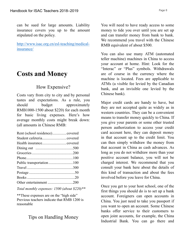can be sued for large amounts. Liability insurance covers you up to the amount stipulated on the policy.

http://www.isac.org.cn/esl-teaching/medicalinsurance/

### **Costs and Money**

### How Expensive?

Costs vary from city to city and by personal tastes and expectations. As a rule, you should budget approximately RMB1000-1500 about \$220) for each month for basic living expenses. Here's how average monthly costs might break down: (all amounts in Chinese RMB:

*Total monthly expenses: 1500 (about \$220)\*\**

\*\*These expenses are on the "high side" Previous teachers indicate that RMB 1200 is reasonable

### Tips on Handling Money

You will need to have ready access to some money to tide you over until you are set up and can transfer money from bank to bank. We recommend you travel with the Chinese RMB equivalent of about \$500.

You can also use many ATM (automated teller machine) machines in China to access your account at home. Hint: Look for the "Interac" or "Plus" symbols. Withdrawals are of course in the currency where the machine is located. Fees are applicable to ATMs (a visible fee levied by the Canadian bank, and an invisible one levied by the Chinese bank).

Major credit cards are handy to have, but they are not accepted quite as widely as in western countries. They can be a convenient means to transfer money quickly to China. If you give your parents or some other trusted person authorization to access your credit card account here, they can deposit money in that account up to the credit limit. You can then simply withdraw the money from that account in China as cash advances. As long as you do not withdraw more than your positive account balance, you will not be charged interest. We recommend that you consult your bank here about the details of this kind of transaction and about the fees involved before you leave for China.

Once you get to your host school, one of the first things you should do is to set up a bank account. Foreigners can open accounts in China. You just need to take you passport if you want to open an account. Some Chinese banks offer service to their customers to open joint accounts, for example, the China Industrial Bank. You can go there and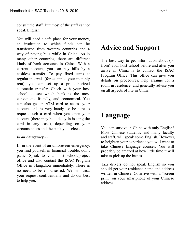consult the staff. But most of the staff cannot speak English.

You will need a safe place for your money, an institution to which funds can be transferred from western countries and a way of paying bills while in China. As in many other countries, there are different kinds of bank accounts in China. With a current account, you can pay bills by a cashless transfer. To pay fixed sums at regular intervals (for example: your monthly rent), you can set up a pre-authorized automatic transfer. Check with your host school to see which bank is the most convenient, friendly, and economical. You can also get an ATM card to access your account; this is very handy, so be sure to request such a card when you open your account (there may be a delay in issuing the card in any case), depending on your circumstances and the bank you select.

#### *In an Emergency….*

If, in the event of an unforeseen emergency, you find yourself in financial trouble, don't panic. Speak to your host school/project office and also contact the ISAC Program Office in Hangzhou immediately. There is no need to be embarrassed. We will treat your request confidentially and do our best to help you.

### **Advice and Support**

The best way to get information about (or from) your host school before and after you arrive in China is to contact the ISAC Program Office. This office can give you details on procedures, help arrange for a room in residence, and generally advise you on all aspects of life in China.

### **Language**

You can survive in China with only English! Most Chinese students, and many faculty and staff, will speak some English. However, to heighten your experience you will want to take Chinese language courses. You will probably be amazed at how little time it will take to pick up the basics.

Taxi drivers do not speak English so you should get your residence name and address written in Chinese. Or arrive with a "screen print" on your smartphone of your Chinese address.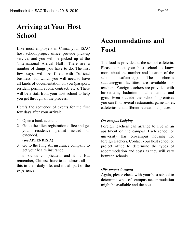# **Arriving at Your Host School**

Like most employers in China, your ISAC host school/project office provide pick-up service, and you will be picked up at the 'International Arrival Hall'. There are a number of things you have to do. The first few days will be filled with "official business" for which you will need to have all kinds of documentation on you (passport, resident permit, room, contract, etc.). There will be a staff from your host school to help you get through all the process.

Here's the sequence of events for the first few days after your arrival:

- 1 Open a bank account.
- 2 Go to the alien registration office and get your residence permit issued or extended.

#### **(see APPENDIX A)**

3 Go to the Ping An insurance company to get your health insurance

This sounds complicated, and it is. But remember, Chinese have to do almost all of this in their daily life, and it's all part of the experience.

# **Accommodations and Food**

The food is provided at the school cafeteria. Please contact your host school to know more about the number and location of the school cafeteria(s). The school's stadium/gym facilities are available for teachers. Foreign teachers are provided with basketballs, badminton, table tennis and gym. Even outside the school's premises you can find several restaurants, game zones, cafeterias, and different recreational places.

#### *On-campus Lodging*

Foreign teachers can arrange to live in an apartment on the campus. Each school or university has on-campus housing for foreign teachers. Contact your host school or project office to determine the types of accommodation and costs as they will vary between schools.

#### *Off-campus Lodging*

Again, please check with your host school to determine what off campus accommodation might be available and the cost.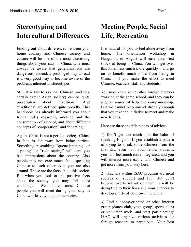# **Stereotyping and Intercultural Differences**

Finding out about differences between your home country and Chinese society and culture will be one of the most interesting things about your stay in China. One must always be aware that generalizations are dangerous; indeed, a prolonged stay abroad is a very good way to become aware of the problems inherent in stereotypes.

Still, it is fair to say that Chinese (and to a certain extent Asian society) can be quite prescriptive about "traditions" And "traditions" are defined quite broadly. This handbook has already informed you about formal rules regarding smoking and the consumption of alcohol, and about different concepts of "cooperation" and "cheating."

Again, China is not a perfect society. China, in fact, is far away from being perfect. Something resembling "queue-jumping" or "spitting" or "rude staring" will earn you bad impressions about the country. Also people may not care much about speaking Chinese to each other even you are also around. Those are the facts about this society. But when you look at the positive facts about the society, you may feel more encouraged. We believe most Chinese people you will meet during your stay in China will leave you good memories.

# **Meeting People, Social Life, Recreation**

It is natural for you to feel alone away from home. The orientation workshop in Hangzhou in August will ease your first shock of being in China. You will get over this loneliness much more quickly – and go on to benefit much more from being in China – if you make the effort to meet Chinese, teachers, staff and students.

You may know some other foreign teachers working at the same school, and they can be a great source of help and companionship. But we cannot recommend strongly enough that you take the initiative to meet and make new friends.

Here are three specific pieces of advice:

1) Don't get too much into the habit of speaking English. If you establish a pattern of trying to speak some Chinese from the first day, even with your fellow students, you will feel much more integrated, and you will interact more easily with Chinese and get more from your stay here.

2) Teachers within ISAC program are great sources of support and fun. But don't become overly reliant on them. It will be disruptive to their lives and your chances to develop a "life of your own" in China.

3) Find a hobby-oriented or other interest group (dance club, yoga group, sports club) or volunteer work, and start participating! ISAC will organize various activities for foreign teachers to participate. Your host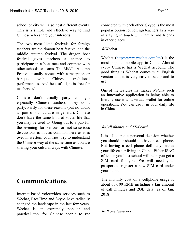school or city will also host different events. This is a simple and effective way to find Chinese who share your interests.

The two most liked festivals for foreign teachers are the dragon boat festival and the middle autumn festival. The dragon boat festival gives teachers a chance to participate in a boat race and compete with other schools or teams. The Middle Autumn Festival usually comes with a reception or banquet with Chinese traditional performances. And best of all, it is free for teachers.  $\odot$ 

Chinese don't usually party at night especially Chinese teachers. They don't party. Partly for these reasons (but no doubt as part of our culture in general), Chinese don't have the same kind of social life that you may be used to. Going out to a pub for the evening for serious or not-so-serious discussions is not as common here as it is over in western countries. Try to understand the Chinese way at the same time as you are sharing your cultural ways with Chinese.

### **Communications**

Internet based voice/video services such as Wechat, FaceTime and Skype have radically changed the landscape in the last few years. Wechat is an extremely popular and practical tool for Chinese people to get connected with each other. Skype is the most popular option for foreign teachers as a way of staying in touch with family and friends in other places.

#### · Wechat

Wechat (http://www.wechat.com/en/) is the most popular mobile app in China. Almost every Chinese has a Wechat account. The good thing is Wechat comes with English version and it is very easy to setup and to use.

One of the features that makes WeChat such an innovative application is being able to literally use it as a virtual wallet for online operations. You can use it in your daily life in China.

#### ·*Cell phones and SIM card*

It is of course a personal decision whether you should or should not have a cell phone. But having a cell phone definitely makes your life easier living in China. Either ISAC office or you host school will help you get a SIM card for you. We will need your passport to register a new SIM card under your name.

The monthly cost of a cellphone usage is about 60-100 RMB including a fair amount of call minutes and 2GB data (as of Jan. 2018).

#### ·*Phone Numbers*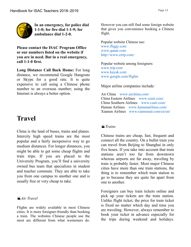

**In an emergency, for police dial 1-1-0; for fire dial 1-1-9; for ambulance dial 1-2-0.**

**Please contact the ISAC Program Office or our numbers listed on the website if you are in need. But in a real emergency, call 1-1-0 first.** 

**Long Distance Call Back Home:** For long distance, we recommend Google Hangouts or Skype for a good rate. It is quite expensive to call using a Chinese phone number to an overseas number; using the Internet is always a better option.

### **Travel**

China is the land of buses, trains and planes. Intercity high speed trains are the most popular and a fairly inexpensive way to go medium distances. For longer distances, you might be able to get some cheap flights and train trips. If you are placed to the University Program, you'll find a university owned bus team that specializes in student and teacher commute. They are able to take you from one campus to another one and is usually free or very cheap to take.

#### ·*Air Travel*

Flights are widely available in most Chinese cities. It is more foreigner-friendly than booking a train. The websites Chinese people use the most are different from what westerners do. However you can still find some foreign website that gives you convenience booking a Chinese flight.

Popular website Chinese use: www.fliggy.com www.qunar.com http://www.ctrip.com/

Popular website among foreigners: www.trip.com www.kayak.com www.google.com/flights

Major airline companies include:

Air China www.airchina.com/ China Eastern Airlines www.ceair.com/ China Southern Airlines www.csair.com/ Hainan Airlines www.hainanairlines.com/ Xiamen Airlines www.xiamenair.com/cn/en/

#### ·*Trains*

Chinese trains are cheap, fast, frequent and connect all the country. On a bullet train you can travel from Beijing to Shanghai in only five hours. If you take into account that train stations aren't too far from downtown whereas airports are far away, traveling by train is probably faster. Most major Chinese cities have more than one train stations, the thing is to remember which train station to go to because they are quite far apart from one to another.

Foreigners can buy train tickets online and pick up your tickets are the train station. Unlike flight ticket, the price for train ticket is fixed no matter which day and time you are traveling. However, always remember to book your ticket in advance especially for the trips during weekend and holidays.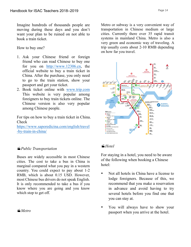Imagine hundreds of thousands people are moving during these days and you don't want your plan to be ruined on not able to book a train ticket.

How to buy one?

- 1. Ask your Chinese friend or foreign friend who can read Chinese to buy one for you on http://www.12306.cn, the official website to buy a train ticket in China. After the purchase, you only need to go to the train station, show your passport and get your ticket.
- 2. Book ticket online with www.trip.com This website is very popular among foreigners to buy train tickets online. The Chinese version is also very popular among Chinese people.

For tips on how to buy a train ticket in China. Check

https://www.saporedicina.com/english/travel -by-train-in-china/

#### ·*Public Transportation*

Buses are widely accessible in most Chinese cities. The cost to take a bus in China is marginal compared what you pay in a western country. You could expect to pay about 1-2 RMB, which is about 0.15 USD. However, most Chinese bus drivers do not speak English. It is only recommended to take a bus if you know where you are going and you know which stop to get off.

·*Metro*

Metro or subway is a very convenient way of transportation in Chinese medium or large cities. Currently there over 35 rapid transit systems in mainland China. Metro is also a very green and economic way of traveling. A trip usually costs about 2-10 RMB depending on how far you travel.



#### ·*Hotel*

For staying in a hotel, you need to be aware of the following when booking a Chinese hotel:

- Not all hotels in China have a license to lodge foreigners. Because of this, we recommend that you make a reservation in advance and avoid having to try several hotels before you find one that you can stay at.
- You will always have to show your passport when you arrive at the hotel.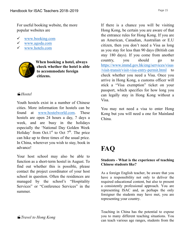For useful booking website, the more popular websites are

- $\checkmark$  www.booking.com
- $\checkmark$  www.agoda.com
- ü www.hotels.com



**When booking a hotel, always check whether the hotel is able to accommodate foreign citizens.**

#### ·*Hostel*

Youth hostels exist in a number of Chinese cities. More information for hostels can be found at www.hostelworld.com. These hostels are open 24 hours a day, 7 days a week, and are busy in the holidays especially the 'National Day Golden Week Holiday' from Oct.1st to Oct  $7<sup>th</sup>$ . The price can hike up to three times of the usual price. In China, wherever you wish to stay, book in advance!

Your host school may also be able to function as a short-term hostel in August. To find out whether this is possible, please contact the project coordinator of your host school in question. Often the residences are managed by the school's "Hospitality Services" or "Conference Services" in the summer.

#### ·*Travel to Hong Kong*

If there is a chance you will be visiting Hong Kong, be certain you are aware of that the entrance rules for Hong Kong. If you are an American, Canadian, Australian or E.U citizen, then you don't need a Visa as long as you stay for less than 90 days (British can stay 180 days). If you come from another country, you should go to https://www.immd.gov.hk/eng/services/visas /visit-transit/visit-visa-entry-permit.html to check whether you need a Visa. Once you arrive in Hong Kong, a customs officer will stick a "Visa exemption" ticket on your passport, which specifies for how long you can legally stay in Hong Kong without a Visa.

You may not need a visa to enter Hong Kong but you will need a one for Mainland China.

### **FAQ**

#### **Students - What is the experience of teaching Chinese students like?**

As a foreign English teacher, be aware that you have a responsibility not only to deliver the required educational content, but also to present a consistently professional approach. You are representing ISAC and, as perhaps the only foreigner the students may have met, you are representing your country.

Teaching in China has the potential to expose you to many different teaching situations. You can teach various age ranges, students from the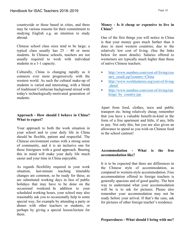countryside or those based in cities, and there may be various reasons for their commitment to studying English e.g. an intention to study abroad.

Chinese school class sizes tend to be large; a typical class usually has 25 - 40 or more students. In Chinese schools, teachers are not usually required to work with individual students in a 1-1 capacity.

Culturally, China is changing rapidly as it connects ever more progressively with the western world. As such the cultural make-up of students is varied and interesting, with a blend of traditional Confucian background mixed with today's technologically-motivated generation of students.

#### **Approach - How should I behave in China? What to expect?**

Your approach to both the work situation in your school and to your daily life in China should be flexible, patient and respectful. The Chinese environment comes with a strong sense of community, and it is an inclusive one for those foreigners with a good approach. Bearing this in mind will make your daily life much easier and your time in China enjoyable.

As regards flexibility required in your work situation, last-minute teaching timetable changes are common, so be ready for these, as are substituted working days in lieu of public holidays that may have to be done on the occasional weekend. In addition to your scheduled working hours, your school may also reasonably ask you to occasionally help in some special way, for example by attending a party or dinner with other teachers or students, or perhaps by giving a special lesson/lecture for them.

#### **Money - Is it cheap or expensive to live in China?**

One of the first things you will notice in China is that your money goes much further than it does in most western countries, due to the relatively low cost of living. (See the links below for more details). Salaries offered to westerners are typically much higher than those of native Chinese teachers.

- http://www.numbeo.com/cost-of-living/cou ntry\_result.jsp?country=China
- http://www.worldsalaries.org/cost-of-living .shtml
- http://www.numbeo.com/cost-of-living/ran kings by country.jsp

Apart from food, clothes, taxis and public transport etc. being relatively cheap, remember that you have a valuable benefit-in-kind in the form of a free apartment and little, if any, bills to pay. Not only this, but you are also given an allowance to spend as you wish on Chinese food in the school canteen!

#### **Accommodation - What is the free accommodation like?**

It is to be expected that there are differences in the Chinese style of accommodation, as compared to western-style accommodation. Free accommodation offered to foreign teachers is generally spacious and of good quality. The best way to understand what your accommodation will be is to ask for pictures. Please also remember your accommodation may not be ready before your arrival. If that's the case, ask for pictures of other foreign teacher's residence.

**Preparedness - What should I bring with me?**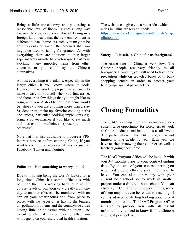Being a little travel-savvy and possessing a reasonable level of life-skills goes a long way towards day-to-day survival abroad. Living in a foreign land means that the new environment is different to back home. As such, you may not be able to easily obtain all the products that you might be used to taking for granted. As with everything, there are solutions to this; larger supermarkets usually have a foreign department stocking many imported items from other countries or you could try the Chinese alternatives.

Almost everything is available, especially in the larger cities, if you know where to look. However, it is good to prepare in advance to make it easy on yourself when you first arrive, and there are a few things that you might like to bring with you. A short list of these items would be: shoes (if you are anything more than a size 8), deodorant, make-up, favorite cooking herbs and spices, particular cooking implements e.g. bring a potato-masher if you like to eat mash and essential medicines (prescription or otherwise).

Note that it is also advisable to procure a VPN internet service before entering China, if you want to continue to access western sites such as Facebook, Twitter and Youtube.

#### **Pollution - Is it something to worry about?**

Due to it having being the world's factory for a long time, China has some difficulties with pollution that it is working hard to solve. Of course, levels of pollution vary greatly from one day to another (this can be monitored with an app on your smartphone) and from place to place, with the larger cities having the biggest air-pollution problems and the countryside cities having little or no issues with pollution. The extent to which it may or may not affect you will depend on your individual health situation.

The website can give you a better idea which cities in China are less polluted: https://www.travelchinaguide.com/climate/air-p ollution.htm

#### **Safety -- Is it safe in China for us foreigners?**

The crime rate in China is very low. The Chinese people are very friendly to all foreigners. However, you still need to take some precaution while on crowded buses or in busy shopping centers in order to protect your belongings against pick-pockets.

### **Closing Formalities**

The ISAC Teaching Program is conceived as a system-wide opportunity for foreigners to work at Chinese educational institutions at all levels. And participation in the ISAC program is not limited to one academic year. Each year we have teachers renewing their contracts as well as teachers going back home.

The ISAC Program Office will be in touch with you 3-4 months prior to your contract ending date. By the end of your contract term, you need to decide whether to stay in China or to leave. You can also either stay with your current host school, or to work in another project under a different host school. You can also stay in China for other opportunities, some of them may not even be related to teaching. If so it is advised to starting looking about 3 or 4 months prior to that. The ISAC Program Office is able to provide you with all useful information you need to know from a Chinese and local perspective.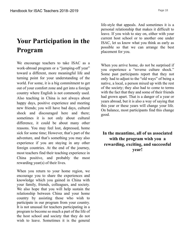# **Your Participation in the Program**

We encourage teachers to take ISAC as a work-abroad program or a "jumping-off year" toward a different, more meaningful life and turning point for your understanding of the world. For some, it is a big commitment to get out of your comfort zone and get into a foreign country where English is not commonly used. Also teaching in China is not always about happy days, positive experience and meeting new friends; you will have bad days, cultural shock and discouraged here and there; sometimes it is not only about cultural difference, it could be about many other reasons. You may feel lost, depressed, home sick for some time; However, that's part of the adventure, and that's something you may also experience if you are staying in any other foreign countries. At the end of the journey, most teachers find their teaching experience in China positive, and probably the most rewarding year(s) of their lives.

When you return to your home region, we encourage you to share the experiences and knowledge which you gained in China with your family, friends, colleagues, and society. We also hope that you will help sustain the relationship between China and your home country by assisting those who wish to participate in our program from your country. It is not unusual for teachers participating in a program to become so much a part of the life of the host school and society that they do not wish to leave. Sometimes it is the general

life-style that appeals. And sometimes it is a personal relationship that makes it difficult to leave. If you wish to stay on, either with your current host school or to another one under ISAC, let us know what you think as early as possible so that we can arrange the best placement for you.

When you arrive home, do not be surprised if you experience a "reverse culture shock." Some past participants report that they not only had to adjust to the "old ways" of being a native, a local, a person mixed up with the rest of the society; they also had to come to terms with the fact that they and some of their friends had grown apart. That is a danger of a year or years abroad, but it is also a way of saying that this year or these years will change your life. On balance, most participants find this change good.

**In the meantime, all of us associated with the program wish you a rewarding, exciting, and successful year!**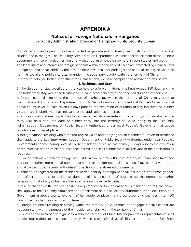### **APPENDIX A**

#### **Notices for Foreign Nationals in Hangzhou Exit-Entry Administration Division of Hangzhou Public Security Bureau**

China's reform and opening up has attracted large numbers of foreign nationals for tourism, business, studies, and exchanges. The Exit-Entry Administration Department, as functional department of the Chinese government, sincerely welcomes you and wishes you an enjoyable stay here, in your studies and work. The legal rights and interests of foreign nationals within the territory of China are protected by Chinese laws. Foreign nationals shall abide by the local Chinese laws, shall not endanger the national security of China, or harm its social and public interests, or undermine social public order within the territory of China. In order to help you better understand the Chinese laws, we have compiled the relevant articles below:

#### **I. Residence and Stay**

1. The duration of stay specified on the visa held by a foreign national shall not exceed 180 days, and the visa holder may stay within the territory of China in accordance with the specified duration of their visa.

A foreign national extending the duration of his/her stay within the territory of China may apply to the Exit-Entry Administration Department of Public Security Authorities under local People's Government at above county level, at least seven (7) days prior to the expiration of duration of stay indicated on his/her visa, and shall submit materials relevant to the application as required.

2. A foreign national needing to handle residence permits after entering the territory of China shall, within thirty (30) days after the date of his/her entry into the territory of China, apply to the Exit-Entry Administration Department of Public Security Authorities under local People's Government at above country level of target place.

A foreign national residing within the territory of China and applying for an extended duration of residence shall apply to the Exit-Entry Administration Department of Public Security Authorities under local People's Government at above county level of his/ her residence place, at least thirty (30) days prior to the expiration of the effective period of his/her residence permit, and shall submit materials relevant to the application as required.

3. Foreign nationals reaching the age of 16, if to reside or stay within the territory of China, shall take their passport or other international travel documents, or foreign national's residence/stay permits with them, and allow the public security authorities' inspection of the aforesaid documents.

4. Items to be registered on the residence permit held by a foreign national include his/her name, gender, date of birth, purpose of residence, duration of residence, date of issue, place, the number of his/her passport or that of any of his/her other international travel certificates.

In case of changes in the registration items required for the foreign national's residence permit, the holder shall apply to the Exit-Entry Administration Department of Public Security Authorities under local People's Government at above county level of his/ her residence place, making corresponding changes in ten (10) days since the change in registration items.

5. Foreign nationals residing or staying within the territory of China must not engage in activities that are not consistent with the purpose of their residence or stay within the territory of China.

6. Following the birth of a foreign baby within the territory of China, his/her parents or representatives shall handle registration of residence or stay within sixty (60) days of his/her birth, at the Exit-Entry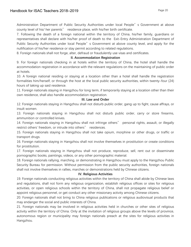Administration Department of Public Security Authorities under local People's Government at above county level of his/ her parents' residence place, with his/her birth certificate.

7. Following the death of a foreign national within the territory of China, his/her family, guardians or representatives shall declare with his/her proof of death to the Exit-Entry Administration Department of Public Security Authorities under local People's Government at above county level, and apply for the nullification of his/her residence or stay permit according to related regulations.

8. Foreign nationals shall not forge, alter, defraud or fraudulently use visas and certificates.

#### **II. Accommodation Registration**

9. For foreign nationals checking in at hotels within the territory of China, the hotel shall handle the accommodation registration in accordance with the relevant regulations on the maintaining of public order at hotels.

10. A foreign national residing or staying at a location other than a hotel shall handle the registration formalities him/herself, or through the host at the local public security authorities, within twenty-four (24) hours of taking up said residence.

11. Foreign nationals staying in Hangzhou for long term, if temporarily staying at a location other than their own residence, shall also handle accommodation registration.

#### **III. Law and Order**

12. Foreign nationals staying in Hangzhou shall not disturb public order, gang up to fight, cause affrays, or insult women.

13. Foreign nationals staying in Hangzhou shall not disturb public order, carry or store firearms, ammunition or controlled knives.

14. Foreign nationals staying in Hangzhou shall not infringe others' personal rights, assault, or illegally restrict others' freedom, or intrude into others' residences.

15. Foreign nationals staying in Hangzhou shall not take opium, morphine or other drugs, or traffic or transport drugs.

16. Foreign nationals staying in Hangzhou shall not involve themselves in prostitution or create conditions for prostitution.

17. Foreign nationals staying in Hangzhou shall not produce, reproduce, sell, rent out or disseminate pornographic books, paintings, videos, or any other pornographic material.

18. Foreign nationals rallying, marching, or demonstrating in Hangzhou must apply to the Hangzhou Public Security Bureau for permission. Without permission from the public security authorities, foreign nationals shall not involve themselves in rallies, marches or demonstrations held by Chinese citizens.

#### **IV. Religious Activities**

19. Foreign nationals conducting religious activities within the territory of China shall abide by Chinese laws and regulations, shall not form any religious organization, establish religious offices or sites for religious activities, or open religious schools within the territory of China, shall not propagate religious belief or appoint religious personnel, or get conduct any other missionary activity among Chinese citizens.

20. Foreign nationals shall not bring to China religious publications or religious audiovisual products that may endanger the social and public interests of China.

21. Foreign nationals may be involved in religious activities held in churches or other sites of religious activity within the territory of China. Only at the invitation of religious groups above the levels of province, autonomous region or municipality may foreign nationals preach at the sites for religious activities in Hangzhou.